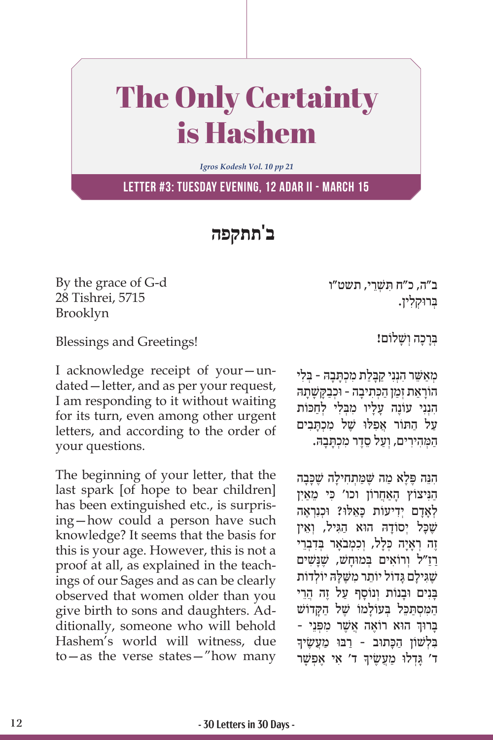## The Only Certainty is Hashem

*Igros Kodesh Vol. 10 pp 21*

**Letter #3: Tuesday evening, 12 Adar II - March 15**

**ב'תתקפה**

By the grace of G-d 28 Tishrei, 5715 Brooklyn

Blessings and Greetings!

I acknowledge receipt of your—undated—letter, and as per your request, I am responding to it without waiting for its turn, even among other urgent letters, and according to the order of your questions.

The beginning of your letter, that the last spark [of hope to bear children] has been extinguished etc., is surprising—how could a person have such knowledge? It seems that the basis for this is your age. However, this is not a proof at all, as explained in the teachings of our Sages and as can be clearly observed that women older than you give birth to sons and daughters. Additionally, someone who will behold Hashem's world will witness, due to—as the verse states—"how many ִּ ב"ה, כ"ח תשׁ ְ ֵרי, תשט"ו ְּב ּרו ְק ִלין.

ַבְּרַכָה וְשָׁלוֹם!

מאשר הנני קבלת מכתבה - בלי ָהוֹרַאַת זִמַן הַכְּתִיבָה - וּכִבַקַּשָׁתַה הִנְנִי עוֹנֶה עַלִיו מַבְּלִי לְחכּוֹת על התוֹר אפלוּ שֵׁל מכתבים המַהירים, וִעל סֻדַר מכִתְּבהּ.

ִהֵנּה פֶּ ֶל ַא מה שֶּׁ ַּמ ְת ִח ָילה שֶׁ ָכּ ָבה הַנִּיצוֹץ האחרוֹן וכו' כּי מַאִין לְאָדָם יִדְיעוֹת כָּאֵלוּ? וּכִנְרְאֶה שָׁכּל יִסוֹדהּ הוּא הגיל, וְאֵין ְזָה רְאִיה כִּלֹל, וְכִמְבֹאֵר בַּדְבָרֵי ַרַז ְ "ל ו ִרוֹ א ְּ ים ב ּמוָחשׁ , שֶׁ ָנּשׁ ִ ים שֶׁגִּילָם גָּדוֹל יוֹתֵר מִשֶּׁלָּה יוֹלְדוֹת ַבְּנִים וּבְנוֹת וְנוֹסֵף עַל זֶה הֵרֵי ַה ִּמ ְס ַּתֵכּ ְּ ל ב ָעוֹ למוֹ שֶׁ ַ ל ה ָּקדוֹ שׁ ׇׅ֧֖֧֦֧֦֧֖֖֖֖֖֖֧֚֚֚֚֚֚֚֚֓֝֬֝֬<u>֓</u> בָּרוּךְ הוּא רוֹאֶה אֲשֶׁר מִפְּנֵי -<br>בַּלִשׁוֹז הכּתוּב - רבּוּ מעשׂידִ בּלְשׁוֹן הכתוב - רבּוּ מִעַשֵׂיךָ ִָ ד' א ֶ י א ְפשָׁ ר ָּ ד' גְד ּלו ַ מֲע ֶשׂיך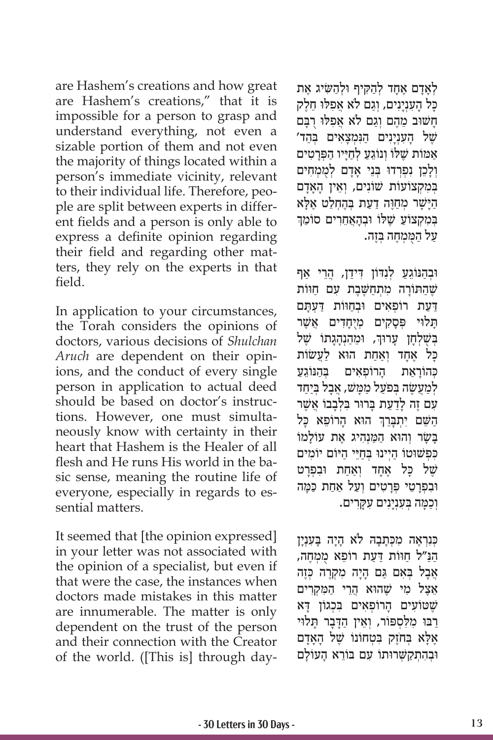are Hashem's creations and how great are Hashem's creations," that it is impossible for a person to grasp and understand everything, not even a sizable portion of them and not even the majority of things located within a person's immediate vicinity, relevant to their individual life. Therefore, people are split between experts in different fields and a person is only able to express a definite opinion regarding their field and regarding other matters, they rely on the experts in that field.

In application to your circumstances, the Torah considers the opinions of doctors, various decisions of *Shulchan Aruch* are dependent on their opinions, and the conduct of every single person in application to actual deed should be based on doctor's instructions. However, one must simultaneously know with certainty in their heart that Hashem is the Healer of all flesh and He runs His world in the basic sense, meaning the routine life of everyone, especially in regards to essential matters.

It seemed that [the opinion expressed] in your letter was not associated with the opinion of a specialist, but even if that were the case, the instances when doctors made mistakes in this matter are innumerable. The matter is only dependent on the trust of the person and their connection with the Creator of the world. ([This is] through day-

ַלְאָדָם אֶחָד לְהַקִיף וּלְהַשִּׂיג אֶת ַכּל הענינים, וְגם לֹא אַפְלוּ חֱלֵק ַחשׁוּב מהם וגם לֹא אפלוּ רבּם שֵׁל הַעָנְיַנִים הַנִּמְצַאִים בִּהֵד' אַמוֹת שֶׁלוֹ וְנוֹגֵעַ לְחַיָּיו הַפְּרָטִים וְלָכֵן נִפְרְדוּ בִּנֵי אָדָם לְמִמְחִים בְּמִקְצוֹעוֹת שׁוֹנִים, וְאֵין הָאֲדָם הַיָּשָׁר מְחַוֶּה דַעַת בְּהֶחְלֵט אֶלָּא<br>במקצוע שלו ובהאחרים סומד בְּמִקְצוֹעַ שֵׁלוֹ וּבְהָאֲחֶרִים סוֹמֶךְ ַע ַל ה ֻּמ ְמֶח ְּה בֶזה.

ּוּבְהַנּוֹגֵעַ לְנְדּוֹן דְידַן, הֲרֵי אַף שֶׁהַתּוֹרָה מִתְחַשֵּׁבֶת עִם חַוּוֹת דִּעַת רוֹפְאים וּבְחוּוֹת דִעָתם ַתֲלוּי פְּסַקִים מְיִחַדִים אֲשֶׁר ֧֧֧֦֧֢ׅ֖֖֖֖֧֚֚֚֚֚֝֝֬<u>֚</u> בְּשֶׁלְחָן עָרוּךְ, וּמֵהַנְהָגָתוֹ שֶׁל ַכָּל אֶחֲד וְאַחָת הוֹא לַעֲשׂוֹת ַכּהוֹראת הרוֹפאים בַּהּנּוֹגע לְמַעֲשָׂה בְּפ<sup>ֹ</sup>עַל מַמָּשׁ, אֲבַל בִּיַחַד ַעם זָה לדעת בּרוּר בּלְבבוֹ אַשֶׁר ֧֧֖֖֖֖֖֖֖֧֚֚֚֚֚֚֚֚֝֝֬<u>֓</u> הַשֵּׁם יִתְבָּרֵךְ הוּא הָרוֹפֵא כָּל ַבְּשׂר והוּא המנהיג את עוֹלמוֹ כּפּשׁוּטוֹ היינוּ בחיי היוֹם יוֹמים של כל אַחַד וְאַחָת וּבְפְרַט ּו ִב ְפָרֵטי פְּ ָרִט ְ ים וַע ַ ל אַח ַת כּ ָּמה וְכַמָּה בְּעָנְיָנִים עָקָרִים.

כִּנְרְאֵה מִכְּתַבָהּ לֹא הַיַּה בַּעָנְיַן הנּ״ל חוּוֹת דִעת רוֹפֵא ממחה, ְאֲבָל בְּאִם גֵּם הָיַה מִקְרֶה כְּזֶה ֵאֶצ ִ ל מי שֶׁ ּהו ֲ א הֵר ַ י ה ִּמ ְקִרים שֵׁטוֹעִים הַרוֹפְאִים בְּכְגוֹן דָּא רבו מלספור, ואֵין הדבר תלוי אֶלָּא בְּחֹזֶק בִּטְחוֹנוֹ שֶׁל הָאָדָם וּבְהָתְקַשְׁרוּתוֹ עָם בּוֹרֵא הַעוֹלַם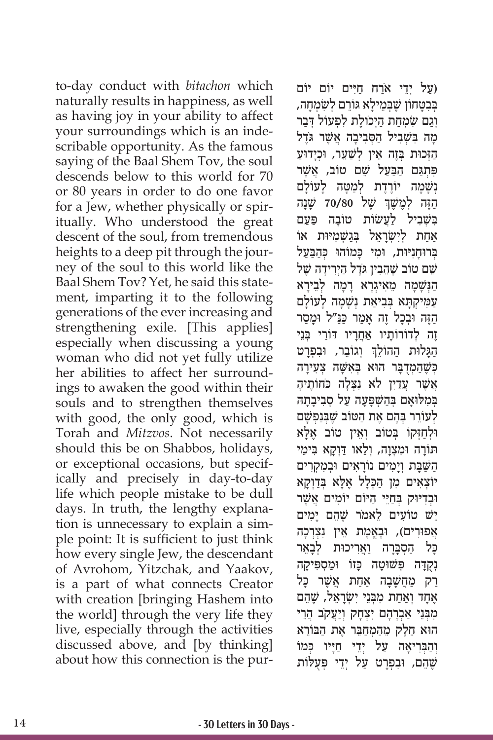to-day conduct with *bitachon* which naturally results in happiness, as well as having joy in your ability to affect your surroundings which is an indescribable opportunity. As the famous saying of the Baal Shem Tov, the soul descends below to this world for 70 or 80 years in order to do one favor for a Jew, whether physically or spiritually. Who understood the great descent of the soul, from tremendous heights to a deep pit through the journey of the soul to this world like the Baal Shem Tov? Yet, he said this statement, imparting it to the following generations of the ever increasing and strengthening exile. [This applies] especially when discussing a young woman who did not yet fully utilize her abilities to affect her surroundings to awaken the good within their souls and to strengthen themselves with good, the only good, which is Torah and *Mitzvos*. Not necessarily should this be on Shabbos, holidays, or exceptional occasions, but specifically and precisely in day-to-day life which people mistake to be dull days. In truth, the lengthy explanation is unnecessary to explain a simple point: It is sufficient to just think how every single Jew, the descendant of Avrohom, Yitzchak, and Yaakov, is a part of what connects Creator with creation [bringing Hashem into the world] through the very life they live, especially through the activities discussed above, and [by thinking] about how this connection is the pur-

ַ יְדֵי אֹרַח חַיִּים יוֹם יוֹם) ָבִנטחוֹן שַׁבַמילא גּוֹרם לשׂמחה, וְגֵם שִׂמְחַת הַיְכוֹלֵת לְפְעוֹל דְּבַר מָה בִּשְׁבִיל הַסְּבִיבָה אֲשֶׁר גֹּדֶל הזכות בַּזָה אֵין לְשַׁעֲר, וּכִידוּע פּתִגם הבעל שֵׁם טוֹב, אשֵׁר נְשָׁמַה יוֹרֲדֶת לְמַטָּה לַעוֹלַם ֿהֶזָה לְמֶשֶׁךְ שֶׁל 70/80 שָׁנָה בִּשָׁבִיל לַעֲשׂוֹת טוֹבַה פַּעַם ְאַחַת לִישָׂרַאֵל בְּגַשְׁמִיּוּת אוֹ ַ בּרוּחניּוּת, וּמי כּמוֹהוּ כּהבּעל שֵׁם טוֹב שֶׁהֶבְין גֹּדֶל הַיִרִידַה שֵׁל הַנִּשָׁמָה מֵאִיגִרַא רַמַה לְבֵירַא ַעֲמִיקְתַּא בְּבִיאַת וָשַׁמַה לַעוֹלַם ַהֶּז ּה ו ְבָכ ֶל ז ָ ה אַמ ַ ר כּ ַנּ ּ "ל וָמַסר זֶה לְדוֹרוֹתַיו <u>אַחֲר</u>יו דּוֹרֵי בְּנֵי ְהַגָּלוּת הַהוֹלֵךְ וְגוֹבֵר, וּבִפְרָט כִּשֶׁהַמְדְבָּר הוּא בִּאְשָׁה צִעָירַה ְאֲשֶׁר עֲדַיִן לֹא נִצְלַה כֹּחוֹתֵיהַ במלוּאם בהשפּעה על סביבתה ַלְעוֹרֵר בַּהֶם אֵת הַטּוֹב שֵׁבְּנַפְּשָׁם ּוּלְחַזְּקוֹ בְּטוֹב וְאֵין טוֹב אֶלָּא תּוֹרָה וּמְצְוָה, וְלַאו דַּוְקַא בִּימֵי הַשַּׁבָּת וְיָמִים נוֹרָאִים וּבְמִקְרִים יוֹצְאִים מִן הַכְּלָל אֶלָּא בְּדַוְקָא וּבדיּוּק בַחיּי היּוֹם יוֹמים אשׁר ישׁ טוֹעים לאמֹר שהם ימים אַפוּרִים), וּבֶאֱמֶת אֵין נְצְרְכַה ַכָּל הַסְבַּרָה וַאֲרִיכוּת לְבַאֵר נִקְדָה פִּשׁוּטַה כָּזוֹ וּמַסְפִּיקַה ַרַק מַחֲשָׁבָה אַחָת אֲשֶׁר כָּל ֶאָח ְד וַאַח ִת מ ְּבֵנ ִ י י ְשָׂרֵאל, שֶׁ ֵהם מִבְּנֵי אַבְרָהָם יְצָחַק וְיַעֲקֹב הֲרֵי ּהו ֵא חֶל ֵ ק מַה ְמַחֵּב ֶר א ַת ה ּב ֵוֹ רא ּיְנִהְבְרִיאָה עַל יְדֵי חַיָּיו כְּמוֹ שֶׁהֵם, וּבִפְרַט עַל יִדֵי פִּעָלּוֹת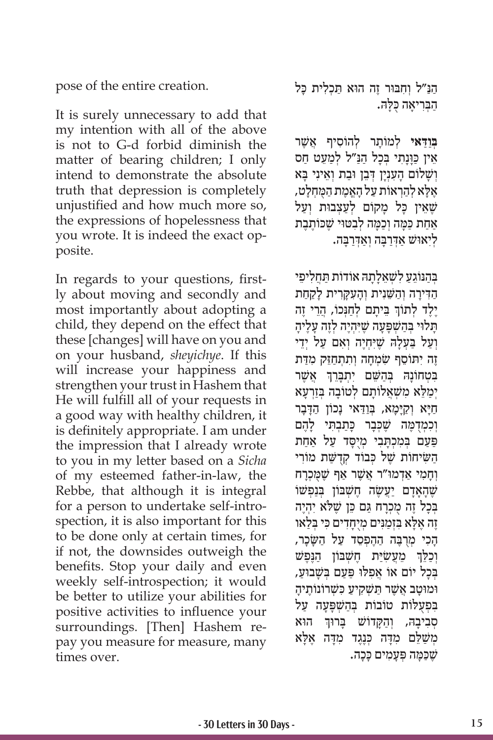pose of the entire creation.

It is surely unnecessary to add that my intention with all of the above is not to G-d forbid diminish the matter of bearing children; I only intend to demonstrate the absolute truth that depression is completely unjustified and how much more so, the expressions of hopelessness that you wrote. It is indeed the exact opposite.

In regards to your questions, firstly about moving and secondly and most importantly about adopting a child, they depend on the effect that these [changes] will have on you and on your husband, *sheyichye*. If this will increase your happiness and strengthen your trust in Hashem that He will fulfill all of your requests in a good way with healthy children, it is definitely appropriate. I am under the impression that I already wrote to you in my letter based on a *Sicha*  of my esteemed father-in-law, the Rebbe, that although it is integral for a person to undertake self-introspection, it is also important for this to be done only at certain times, for if not, the downsides outweigh the benefits. Stop your daily and even weekly self-introspection; it would be better to utilize your abilities for positive activities to influence your surroundings. [Then] Hashem repay you measure for measure, many times over.

ַהַנּ״ל וְחִבּוּר זֵה הוּא תַּכְלִית כָּל הַבְּרִיאָה כָלָה.

**ִבְּוַדָּאי לְמוֹתַר לְהוֹסִיף אֲשֶׁר** אֵין כַּוַּנַתִי בִּכָל הַנַּ״ל לִמַעֵט חַס וְשׁלוֹם הענִין דְּבֵן וּבת וְאֵיני בּא ּל ְא לַהְר ַ אוֹ ת ע ָל הֱאֶמ ַת ה ֻּמ ְחָלט, ֶאָ שֶׁאֵין כָּל מַקוֹם לְעַצְבוּת וְעַל ַאחת כּמה וכמה לבטוי שכותבת ַלִּיְאוּשׁ אַדְּרַבָּה וְאַדְרַבָּה.

ַבַּהְנּוֹגַע לשׁאלתה אוֹדוֹת תַחליפי ָהִדִּירָה וְהֹשֵׁנִית וְהַעַקְרִית לַקְחִת ְיֶלֶד לְתוֹךְ בֵּיתָם לְחַנְּכוֹ, הֲרֵי זֶה ָּת ּלו ְּ י בַהשׁ ְ פָּ ָעה שֶׁ ּיִ ְהֶי ְה לֶז ָה עֶל ָיה וְעַל בַּעָלַה שֶׁיִּחְיָה וְאִם עַל יְדֵי ֶז ִה י ּת ֵוֹ ס ִ ף שׂ ְמָח ְה ו ִת ְתַחֵּז ִק מַּדת ׇׅ֖֖֖֖֖֖֖֖֖֖֖֖ׅ֖ׅ֖֪ׅ֪ׅ֪֪֪ׅ֧֪ׅ֪֪֪ׅ֪֪֪֪֪ׅ֪֪֪ׅ֚֚֚֚֚֚֚֚֚֚֚֚֚֚֚֓֝֬֝֓֓֓֓֞֬֝֓֞֬֝֓֓֝֬֓֓֞֬֓֓֓֬ בִּטְחוֹנָהּ בְּהַשֵּׁם יִתְבָּרֵךְ אֲשֶׁר יְמַלֵּא מִשְׁאֲלוֹתָם לְטוֹבָה בְּזַרְעָא הַיָּא וְקַיָּמָא, בְּוַדַּאי נָכוֹן הַדָּבָר וְכִמְדָמֵה שֵׁכִּבָר כַּתַבְתִּי לָהֶם פּעַם בְּמִכְתָּבִי מְיֻסָּד עַל אַחַת ַה ִשּ ׂיחוֹ ת שֶׁ ְ ל כּ ְ בוֹ ד קֻדשַּׁ ִ ת מוֹ רי וְחָמִי אַדְמוּ"ר אֲשֶׁר אַף שֶׁמְּכְרַח שֶׁהָאִדם יִעֲשָׂה חַשָּׁבּוֹן בַּנפִשׁוֹ בְּכָל זֶה מְכְרַח גַּם כֵּן שֵׁלֹּא יְהָיֵה ּל ִּא בְזַמִנּ ְ ים מֻיָחִד ִ ים כּ ְּ י בַלאו ֶז ֶה אָ ָהָכִי מְרָבֶּה הָהֶפְסֶד עַל הַשַּׂכָר, וְכַלֵּךְ מֵעֲשָׂיַת חֶשְׁבּוֹן הַנֶּפֶשׁ ֧֧֧֦֧֢ׅ֖֧֧֚֝֝֬֓֓֓֓֓֓֓֓<u>֓</u> בְּכָל יוֹם אוֹ אַפְלוּ פַּעַם בִּשָּׁבוּעַ, וּמוּטב אַשֵׁר תשַׁקיע כּשַׁרוֹנוֹתֵיה בְּפִעָלוֹת טוֹבוֹת בְּהַשְׁפַּעָה עַל ׇׅ֧֖֧֖֧֧֧֧֧֧֧֧֧ׅ֧֧֧֧֧֧֧֧֧֧ׅ֧֧֧֧֚֚֓֝֬֓֝֬֓֓֓֝֬֓֓֬֓֓֓֓֬֓֓֬֓֓֬֓֓֝֬֓֓֬֓֓֬֓֓֬֓֓֬֝֬֓֓֬֬֓֓֬֓֓ ּ הוּא בְּרוּךְ הוּא מְשַׁלֵּם מִדָּה כְּנֶגֶד מִדָּה אֶלָּא שֶׁכַּמָּה פְּעַמְים כַּכַה.